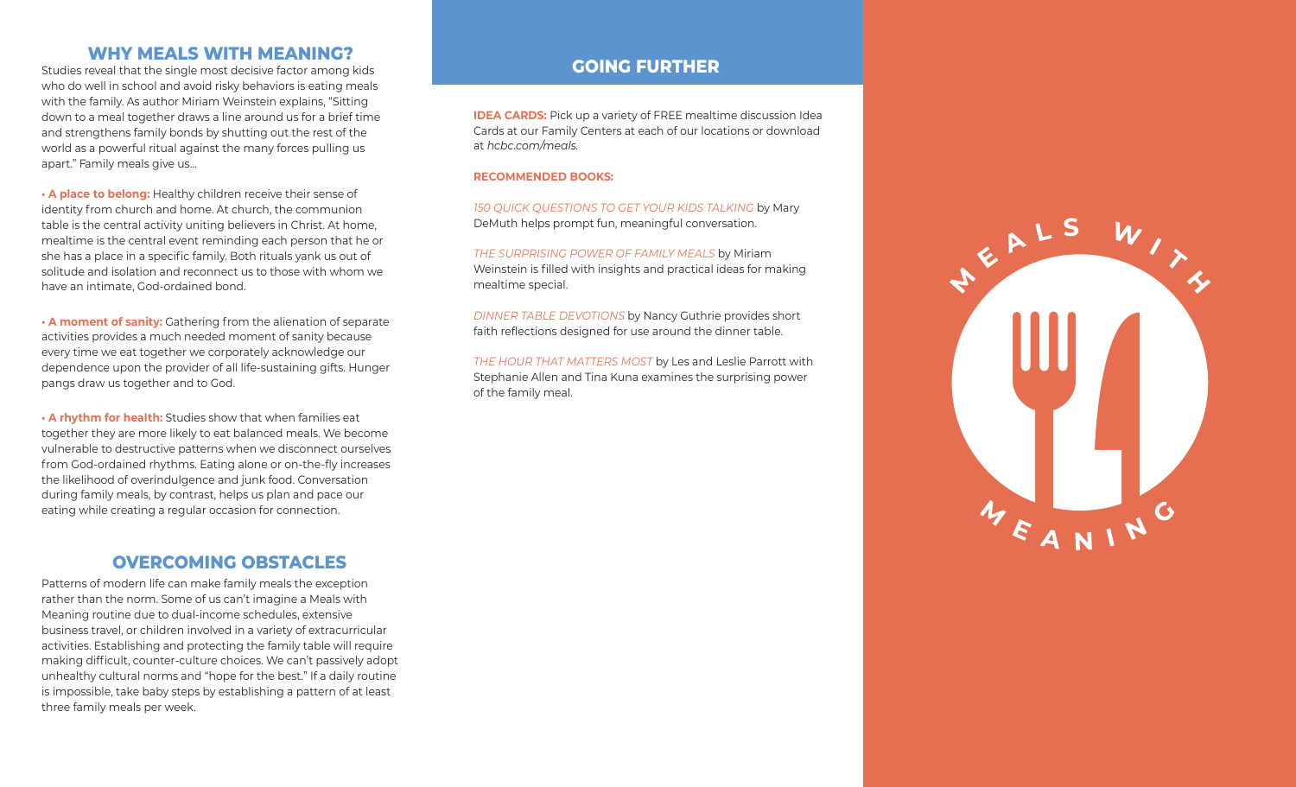### **WHY MEALS WITH MEANING?**

Studies reveal that the single most decisive factor among kids who do well in school and avoid risky behaviors is eating meals with the family. As author Miriam Weinstein explains, "Sitting down to a meal together draws a line around us for a brief time and strengthens family bonds by shutting out the rest of the world as a powerful ritual against the many forces pulling us apart." Family meals give us…

**• A place to belong:** Healthy children receive their sense of identity from church and home. At church, the communion table is the central activity uniting believers in Christ. At home, mealtime is the central event reminding each person that he or she has a place in a specific family. Both rituals yank us out of solitude and isolation and reconnect us to those with whom we have an intimate, God-ordained bond.

**• A moment of sanity:** Gathering from the alienation of separate activities provides a much needed moment of sanity because every time we eat together we corporately acknowledge our dependence upon the provider of all life-sustaining gifts. Hunger pangs draw us together and to God.

**• A rhythm for health:** Studies show that when families eat together they are more likely to eat balanced meals. We become vulnerable to destructive patterns when we disconnect ourselves from God-ordained rhythms. Eating alone or on-the-fly increases the likelihood of overindulgence and junk food. Conversation during family meals, by contrast, helps us plan and pace our eating while creating a regular occasion for connection.

### **OVERCOMING OBSTACLES**

Patterns of modern life can make family meals the exception rather than the norm. Some of us can't imagine a Meals with Meaning routine due to dual-income schedules, extensive business travel, or children involved in a variety of extracurricular activities. Establishing and protecting the family table will require making difficult, counter-culture choices. We can't passively adopt unhealthy cultural norms and "hope for the best." If a daily routine is impossible, take baby steps by establishing a pattern of at least three family meals per week.

### **GOING FURTHER**

**IDEA CARDS:** Pick up a variety of FREE mealtime discussion Idea Cards at our Family Centers at each of our locations or download at *hcbc.com/meals.*

#### **RECOMMENDED BOOKS:**

*150 QUICK QUESTIONS TO GET YOUR KIDS TALKING* by Mary DeMuth helps prompt fun, meaningful conversation.

*THE SURPRISING POWER OF FAMILY MEALS* by Miriam Weinstein is filled with insights and practical ideas for making mealtime special.

*DINNER TABLE DEVOTIONS* by Nancy Guthrie provides short faith reflections designed for use around the dinner table.

*THE HOUR THAT MATTERS MOST* by Les and Leslie Parrott with Stephanie Allen and Tina Kuna examines the surprising power of the family meal.